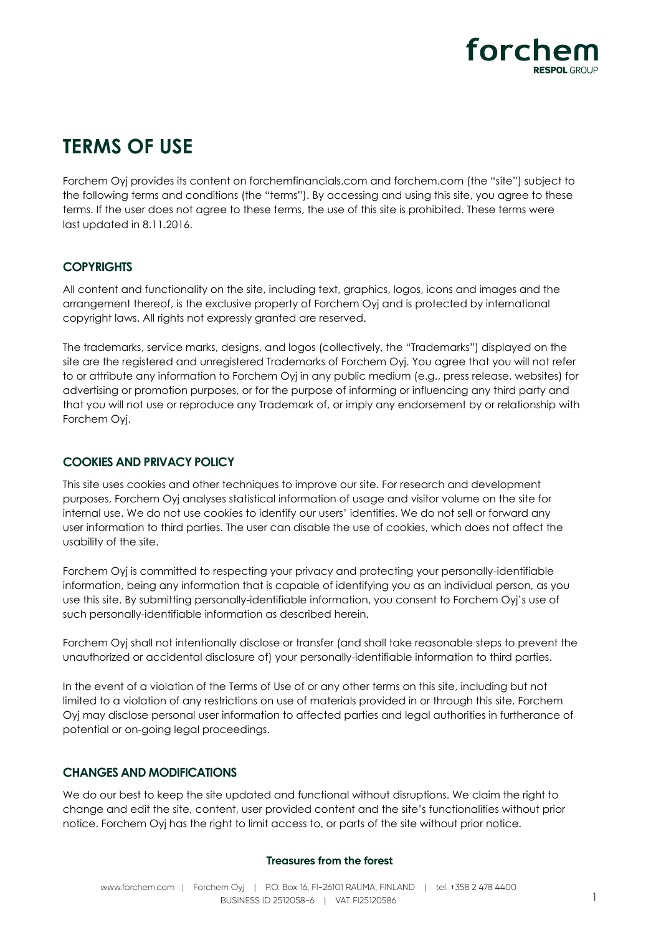

# **TERMS OF USE**

Forchem Oyj provides its content on forchemfinancials.com and forchem.com (the "site") subject to the following terms and conditions (the "terms"). By accessing and using this site, you agree to these terms. If the user does not agree to these terms, the use of this site is prohibited. These terms were last updated in 8.11.2016.

## **COPYRIGHTS**

All content and functionality on the site, including text, graphics, logos, icons and images and the arrangement thereof, is the exclusive property of Forchem Oyj and is protected by international copyright laws. All rights not expressly granted are reserved.

The trademarks, service marks, designs, and logos (collectively, the "Trademarks") displayed on the site are the registered and unregistered Trademarks of Forchem Oyj. You agree that you will not refer to or attribute any information to Forchem Oyj in any public medium (e.g., press release, websites) for advertising or promotion purposes, or for the purpose of informing or influencing any third party and that you will not use or reproduce any Trademark of, or imply any endorsement by or relationship with Forchem Oyj.

## **COOKIES AND PRIVACY POLICY**

This site uses cookies and other techniques to improve our site. For research and development purposes, Forchem Oyj analyses statistical information of usage and visitor volume on the site for internal use. We do not use cookies to identify our users' identities. We do not sell or forward any user information to third parties. The user can disable the use of cookies, which does not affect the usability of the site.

Forchem Oyj is committed to respecting your privacy and protecting your personally-identifiable information, being any information that is capable of identifying you as an individual person, as you use this site. By submitting personally-identifiable information, you consent to Forchem Oyj's use of such personally-identifiable information as described herein.

Forchem Oyj shall not intentionally disclose or transfer (and shall take reasonable steps to prevent the unauthorized or accidental disclosure of) your personally-identifiable information to third parties.

In the event of a violation of the Terms of Use of or any other terms on this site, including but not limited to a violation of any restrictions on use of materials provided in or through this site, Forchem Oyj may disclose personal user information to affected parties and legal authorities in furtherance of potential or on-going legal proceedings.

### **CHANGES AND MODIFICATIONS**

We do our best to keep the site updated and functional without disruptions. We claim the right to change and edit the site, content, user provided content and the site's functionalities without prior notice. Forchem Oyj has the right to limit access to, or parts of the site without prior notice.

### Treasures from the forest